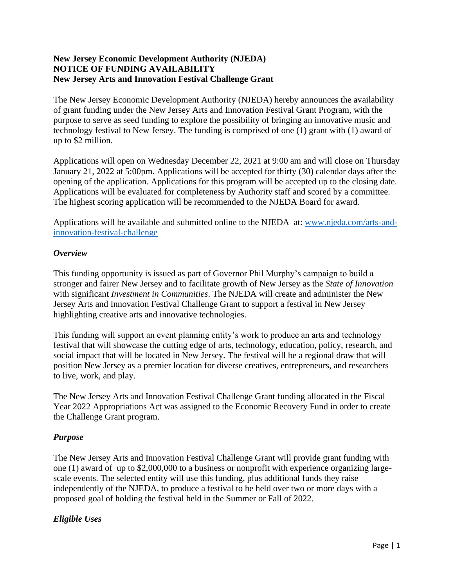### **New Jersey Economic Development Authority (NJEDA) NOTICE OF FUNDING AVAILABILITY New Jersey Arts and Innovation Festival Challenge Grant**

The New Jersey Economic Development Authority (NJEDA) hereby announces the availability of grant funding under the New Jersey Arts and Innovation Festival Grant Program, with the purpose to serve as seed funding to explore the possibility of bringing an innovative music and technology festival to New Jersey. The funding is comprised of one (1) grant with (1) award of up to \$2 million.

Applications will open on Wednesday December 22, 2021 at 9:00 am and will close on Thursday January 21, 2022 at 5:00pm. Applications will be accepted for thirty (30) calendar days after the opening of the application. Applications for this program will be accepted up to the closing date. Applications will be evaluated for completeness by Authority staff and scored by a committee. The highest scoring application will be recommended to the NJEDA Board for award.

Applications will be available and submitted online to the NJEDA at: [www.njeda.com/arts-and](http://www.njeda.com/arts-and-innovation-festival-challenge)[innovation-festival-challenge](http://www.njeda.com/arts-and-innovation-festival-challenge)

### *Overview*

This funding opportunity is issued as part of Governor Phil Murphy's campaign to build a stronger and fairer New Jersey and to facilitate growth of New Jersey as the *State of Innovation* with significant *Investment in Communities*. The NJEDA will create and administer the New Jersey Arts and Innovation Festival Challenge Grant to support a festival in New Jersey highlighting creative arts and innovative technologies.

This funding will support an event planning entity's work to produce an arts and technology festival that will showcase the cutting edge of arts, technology, education, policy, research, and social impact that will be located in New Jersey. The festival will be a regional draw that will position New Jersey as a premier location for diverse creatives, entrepreneurs, and researchers to live, work, and play.

The New Jersey Arts and Innovation Festival Challenge Grant funding allocated in the Fiscal Year 2022 Appropriations Act was assigned to the Economic Recovery Fund in order to create the Challenge Grant program.

# *Purpose*

The New Jersey Arts and Innovation Festival Challenge Grant will provide grant funding with one (1) award of up to \$2,000,000 to a business or nonprofit with experience organizing largescale events. The selected entity will use this funding, plus additional funds they raise independently of the NJEDA, to produce a festival to be held over two or more days with a proposed goal of holding the festival held in the Summer or Fall of 2022.

# *Eligible Uses*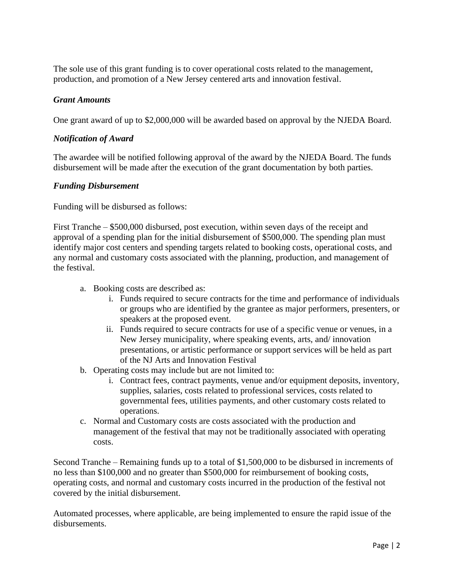The sole use of this grant funding is to cover operational costs related to the management, production, and promotion of a New Jersey centered arts and innovation festival.

### *Grant Amounts*

One grant award of up to \$2,000,000 will be awarded based on approval by the NJEDA Board.

### *Notification of Award*

The awardee will be notified following approval of the award by the NJEDA Board. The funds disbursement will be made after the execution of the grant documentation by both parties.

### *Funding Disbursement*

Funding will be disbursed as follows:

First Tranche – \$500,000 disbursed, post execution, within seven days of the receipt and approval of a spending plan for the initial disbursement of \$500,000. The spending plan must identify major cost centers and spending targets related to booking costs, operational costs, and any normal and customary costs associated with the planning, production, and management of the festival.

- a. Booking costs are described as:
	- i. Funds required to secure contracts for the time and performance of individuals or groups who are identified by the grantee as major performers, presenters, or speakers at the proposed event.
	- ii. Funds required to secure contracts for use of a specific venue or venues, in a New Jersey municipality, where speaking events, arts, and/ innovation presentations, or artistic performance or support services will be held as part of the NJ Arts and Innovation Festival
- b. Operating costs may include but are not limited to:
	- i. Contract fees, contract payments, venue and/or equipment deposits, inventory, supplies, salaries, costs related to professional services, costs related to governmental fees, utilities payments, and other customary costs related to operations.
- c. Normal and Customary costs are costs associated with the production and management of the festival that may not be traditionally associated with operating costs.

Second Tranche – Remaining funds up to a total of \$1,500,000 to be disbursed in increments of no less than \$100,000 and no greater than \$500,000 for reimbursement of booking costs, operating costs, and normal and customary costs incurred in the production of the festival not covered by the initial disbursement.

Automated processes, where applicable, are being implemented to ensure the rapid issue of the disbursements.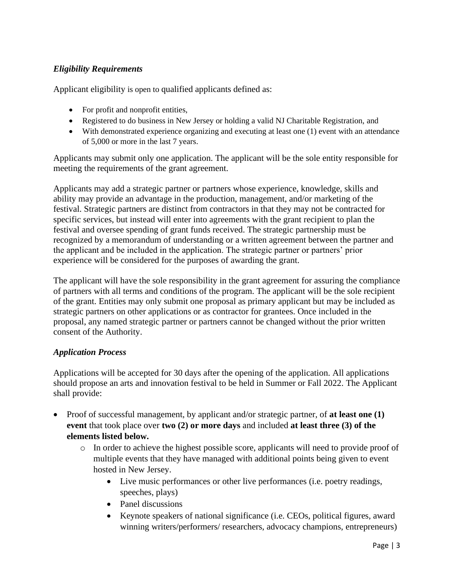# *Eligibility Requirements*

Applicant eligibility is open to qualified applicants defined as:

- For profit and nonprofit entities,
- Registered to do business in New Jersey or holding a valid NJ Charitable Registration, and
- With demonstrated experience organizing and executing at least one (1) event with an attendance of 5,000 or more in the last 7 years.

Applicants may submit only one application. The applicant will be the sole entity responsible for meeting the requirements of the grant agreement.

Applicants may add a strategic partner or partners whose experience, knowledge, skills and ability may provide an advantage in the production, management, and/or marketing of the festival. Strategic partners are distinct from contractors in that they may not be contracted for specific services, but instead will enter into agreements with the grant recipient to plan the festival and oversee spending of grant funds received. The strategic partnership must be recognized by a memorandum of understanding or a written agreement between the partner and the applicant and be included in the application. The strategic partner or partners' prior experience will be considered for the purposes of awarding the grant.

The applicant will have the sole responsibility in the grant agreement for assuring the compliance of partners with all terms and conditions of the program. The applicant will be the sole recipient of the grant. Entities may only submit one proposal as primary applicant but may be included as strategic partners on other applications or as contractor for grantees. Once included in the proposal, any named strategic partner or partners cannot be changed without the prior written consent of the Authority.

# *Application Process*

Applications will be accepted for 30 days after the opening of the application. All applications should propose an arts and innovation festival to be held in Summer or Fall 2022. The Applicant shall provide:

- Proof of successful management, by applicant and/or strategic partner, of **at least one (1) event** that took place over **two (2) or more days** and included **at least three (3) of the elements listed below.** 
	- o In order to achieve the highest possible score, applicants will need to provide proof of multiple events that they have managed with additional points being given to event hosted in New Jersey.
		- Live music performances or other live performances (i.e. poetry readings, speeches, plays)
		- Panel discussions
		- Keynote speakers of national significance (i.e. CEOs, political figures, award winning writers/performers/ researchers, advocacy champions, entrepreneurs)